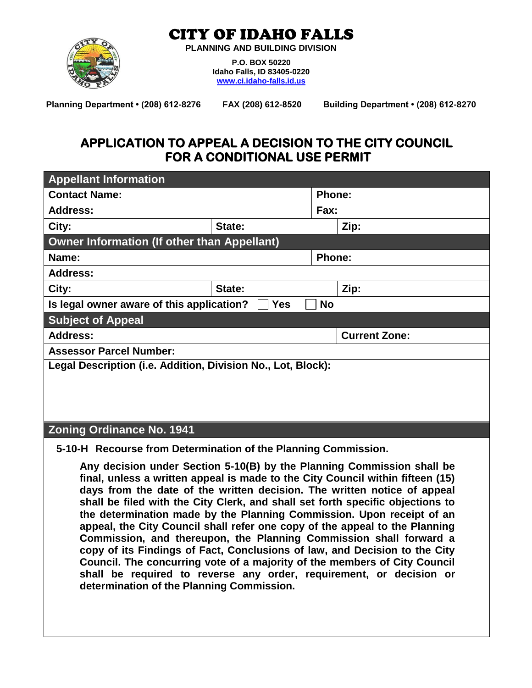#### CITY OF IDAHO FALLS



**PLANNING AND BUILDING DIVISION**

**P.O. BOX 50220 Idaho Falls, ID 83405-0220 [www.ci.idaho-falls.id.us](http://www.ci.idaho-falls.id.us/)**

FAX (208) 612-8520 Building Department · (208) 612-8270 **Planning Department • (208) 612-8276** 

#### **APPLICATION TO APPEAL A DECISION TO THE CITY COUNCIL FOR A CONDITIONAL USE PERMIT**

| <b>Appellant Information</b>                                  |        |               |                      |  |  |
|---------------------------------------------------------------|--------|---------------|----------------------|--|--|
| <b>Contact Name:</b>                                          |        | <b>Phone:</b> |                      |  |  |
| <b>Address:</b>                                               |        | Fax:          |                      |  |  |
| City:                                                         | State: |               | Zip:                 |  |  |
| <b>Owner Information (If other than Appellant)</b>            |        |               |                      |  |  |
| Name:                                                         |        |               | <b>Phone:</b>        |  |  |
| <b>Address:</b>                                               |        |               |                      |  |  |
| City:                                                         | State: |               | Zip:                 |  |  |
| Is legal owner aware of this application?<br>Yes<br><b>No</b> |        |               |                      |  |  |
| <b>Subject of Appeal</b>                                      |        |               |                      |  |  |
| <b>Address:</b>                                               |        |               | <b>Current Zone:</b> |  |  |
| <b>Assessor Parcel Number:</b>                                |        |               |                      |  |  |
| Legal Description (i.e. Addition, Division No., Lot, Block):  |        |               |                      |  |  |
|                                                               |        |               |                      |  |  |
|                                                               |        |               |                      |  |  |
|                                                               |        |               |                      |  |  |
| <b>Zoning Ordinance No. 1941</b>                              |        |               |                      |  |  |

**5-10-H Recourse from Determination of the Planning Commission.**

**Any decision under Section 5-10(B) by the Planning Commission shall be final, unless a written appeal is made to the City Council within fifteen (15) days from the date of the written decision. The written notice of appeal shall be filed with the City Clerk, and shall set forth specific objections to the determination made by the Planning Commission. Upon receipt of an appeal, the City Council shall refer one copy of the appeal to the Planning Commission, and thereupon, the Planning Commission shall forward a copy of its Findings of Fact, Conclusions of law, and Decision to the City Council. The concurring vote of a majority of the members of City Council shall be required to reverse any order, requirement, or decision or determination of the Planning Commission.**